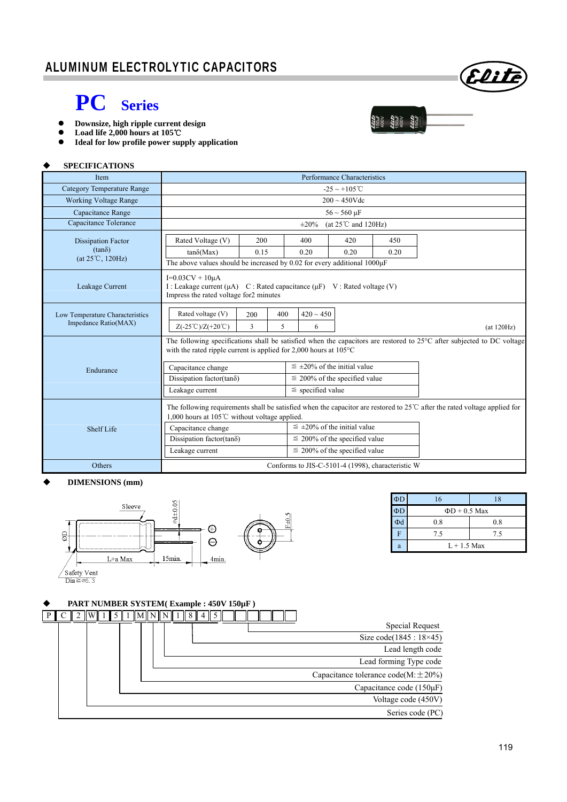# **PC Series**

- **Downsize, high ripple current design**
- **Load life 2,000 hours at 105**℃
- **Ideal for low profile power supply application**

#### **SPECIFICATIONS**

| <b>Item</b>                                                    | Performance Characteristics                                                                                                                                                                                     |                                      |                                      |      |      |            |  |
|----------------------------------------------------------------|-----------------------------------------------------------------------------------------------------------------------------------------------------------------------------------------------------------------|--------------------------------------|--------------------------------------|------|------|------------|--|
| <b>Category Temperature Range</b>                              | $-25 \sim +105^{\circ}$ C                                                                                                                                                                                       |                                      |                                      |      |      |            |  |
| <b>Working Voltage Range</b>                                   | $200 \sim 450$ Vdc                                                                                                                                                                                              |                                      |                                      |      |      |            |  |
| Capacitance Range                                              | $56 \sim 560 \text{ }\mu\text{F}$                                                                                                                                                                               |                                      |                                      |      |      |            |  |
| Capacitance Tolerance                                          | (at $25^{\circ}$ C and $120\text{Hz}$ )<br>$\pm 20\%$                                                                                                                                                           |                                      |                                      |      |      |            |  |
| <b>Dissipation Factor</b><br>$(tan\delta)$<br>(at 25°C, 120Hz) | Rated Voltage (V)                                                                                                                                                                                               | 200                                  | 400                                  | 420  | 450  |            |  |
|                                                                | $tan\delta(Max)$                                                                                                                                                                                                | 0.15                                 | 0.20                                 | 0.20 | 0.20 |            |  |
|                                                                | The above values should be increased by 0.02 for every additional 1000µF                                                                                                                                        |                                      |                                      |      |      |            |  |
| Leakage Current                                                | $I=0.03CV + 10\mu A$<br>I: Leakage current $(\mu A)$ C: Rated capacitance $(\mu F)$ V: Rated voltage (V)<br>Impress the rated voltage for2 minutes                                                              |                                      |                                      |      |      |            |  |
| Low Temperature Characteristics<br>Impedance Ratio(MAX)        | Rated voltage (V)                                                                                                                                                                                               | 400<br>200                           | $420 \sim 450$                       |      |      |            |  |
|                                                                | $Z(-25^{\circ}\text{C})/Z(+20^{\circ}\text{C})$                                                                                                                                                                 | 3<br>5                               | 6                                    |      |      | (at 120Hz) |  |
|                                                                | The following specifications shall be satisfied when the capacitors are restored to $25^{\circ}$ C after subjected to DC voltage<br>with the rated ripple current is applied for 2,000 hours at $105^{\circ}$ C |                                      |                                      |      |      |            |  |
| Endurance                                                      | Capacitance change                                                                                                                                                                                              | $\leq \pm 20\%$ of the initial value |                                      |      |      |            |  |
|                                                                | Dissipation factor( $tan\delta$ )                                                                                                                                                                               | $\leq$ 200% of the specified value   |                                      |      |      |            |  |
|                                                                | Leakage current                                                                                                                                                                                                 | $\le$ specified value                |                                      |      |      |            |  |
|                                                                | The following requirements shall be satisfied when the capacitor are restored to 25°C after the rated voltage applied for                                                                                       |                                      |                                      |      |      |            |  |
| Shelf Life                                                     | 1,000 hours at 105℃ without voltage applied.                                                                                                                                                                    |                                      |                                      |      |      |            |  |
|                                                                | Capacitance change                                                                                                                                                                                              |                                      | $\leq \pm 20\%$ of the initial value |      |      |            |  |
|                                                                | Dissipation factor(tan $\delta$ )                                                                                                                                                                               |                                      | $\leq$ 200% of the specified value   |      |      |            |  |
|                                                                | Leakage current                                                                                                                                                                                                 | $\leq$ 200% of the specified value   |                                      |      |      |            |  |
| Others                                                         | Conforms to JIS-C-5101-4 (1998), characteristic W                                                                                                                                                               |                                      |                                      |      |      |            |  |

#### **DIMENSIONS (mm)**



| ΦD       | 16                 | 18  |  |  |  |  |
|----------|--------------------|-----|--|--|--|--|
| $\Phi$ D | $\Phi$ D + 0.5 Max |     |  |  |  |  |
| Φd       | 0.8                | 0.8 |  |  |  |  |
| F        | 7.5                | 7.5 |  |  |  |  |
| a        | $L+1.5$ Max        |     |  |  |  |  |

#### **PART NUMBER SYSTEM( Example : 450V 150µF )**





22:25<br>150uF<br>22:25<br>22:25<br>200uF<br>200uF